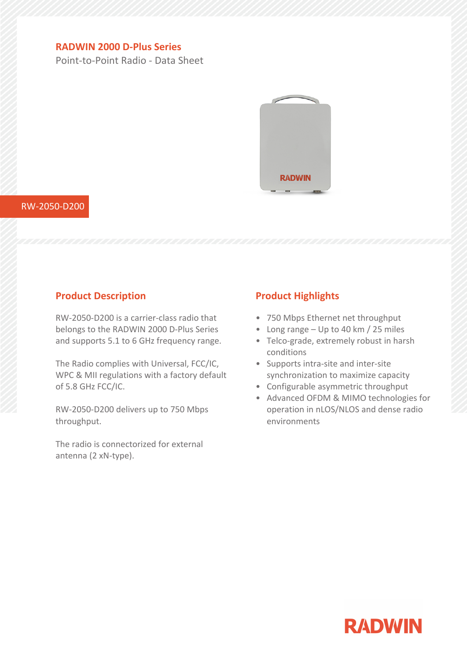# **RADWIN 2000 D-Plus Series**

Point-to-Point Radio - Data Sheet



#### RW-2050-D200

### **Product Description**

RW-2050-D200 is a carrier-class radio that belongs to the RADWIN 2000 D-Plus Series and supports 5.1 to 6 GHz frequency range.

The Radio complies with Universal, FCC/IC, WPC & MII regulations with <sup>a</sup> factory default of 5.8 GHz FCC/IC.

RW-2050-D200 delivers up to 750 Mbps throughput.

The radio is connectorized for external antenna (2 xN-type).

## **Product Highlights**

- 750 Mbps Ethernet net throughput
- Long range Up to 40 km / 25 miles
- Telco-grade, extremely robust in harsh conditions
- Supports intra-site and inter-site synchronization to maximize capacity
- Configurable asymmetric throughput
- Advanced OFDM & MIMO technologies for operation in nLOS/NLOS and dense radio environments